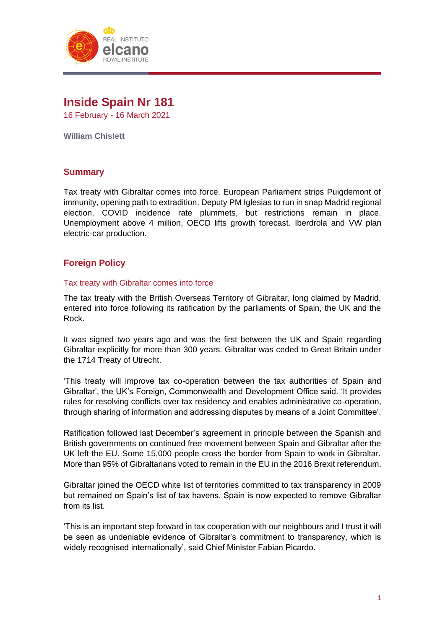

# **Inside Spain Nr 181** 16 February - 16 March 2021

**William Chislett**

# **Summary**

Tax treaty with Gibraltar comes into force. European Parliament strips Puigdemont of immunity, opening path to extradition. Deputy PM Iglesias to run in snap Madrid regional election. COVID incidence rate plummets, but restrictions remain in place. Unemployment above 4 million, OECD lifts growth forecast. Iberdrola and VW plan electric-car production.

# **Foreign Policy**

#### Tax treaty with Gibraltar comes into force

The tax treaty with the British Overseas Territory of Gibraltar, long claimed by Madrid, entered into force following its ratification by the parliaments of Spain, the UK and the Rock.

It was signed two years ago and was the first between the UK and Spain regarding Gibraltar explicitly for more than 300 years. Gibraltar was ceded to Great Britain under the 1714 Treaty of Utrecht.

'This treaty will improve tax co-operation between the tax authorities of Spain and Gibraltar', the UK's Foreign, Commonwealth and Development Office said. 'It provides rules for resolving conflicts over tax residency and enables administrative co-operation, through sharing of information and addressing disputes by means of a Joint Committee'.

Ratification followed last December's agreement in principle between the Spanish and British governments on continued free movement between Spain and Gibraltar after the UK left the EU. Some 15,000 people cross the border from Spain to work in Gibraltar. More than 95% of Gibraltarians voted to remain in the EU in the 2016 Brexit referendum.

Gibraltar joined the OECD white list of territories committed to tax transparency in 2009 but remained on Spain's list of tax havens. Spain is now expected to remove Gibraltar from its list.

'This is an important step forward in tax cooperation with our neighbours and I trust it will be seen as undeniable evidence of Gibraltar's commitment to transparency, which is widely recognised internationally', said Chief Minister Fabian Picardo.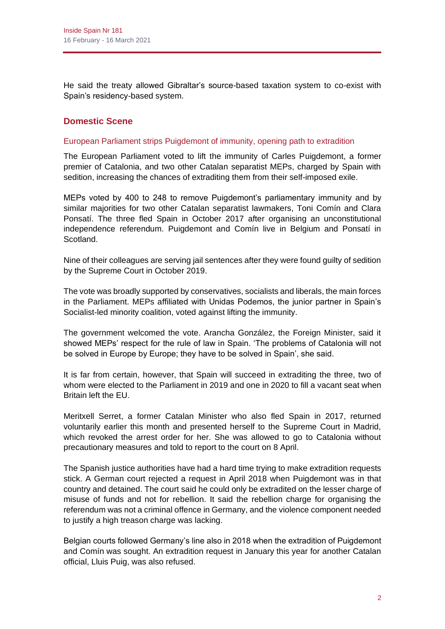He said the treaty allowed Gibraltar's source-based taxation system to co-exist with Spain's residency-based system.

# **Domestic Scene**

#### European Parliament strips Puigdemont of immunity, opening path to extradition

The European Parliament voted to lift the immunity of Carles Puigdemont, a former premier of Catalonia, and two other Catalan separatist MEPs, charged by Spain with sedition, increasing the chances of extraditing them from their self-imposed exile.

MEPs voted by 400 to 248 to remove Puigdemont's parliamentary immunity and by similar majorities for two other Catalan separatist lawmakers, Toni Comín and Clara Ponsatí. The three fled Spain in October 2017 after organising an unconstitutional independence referendum. Puigdemont and Comín live in Belgium and Ponsatí in Scotland.

Nine of their colleagues are serving jail sentences after they were found guilty of sedition by the Supreme Court in October 2019.

The vote was broadly supported by conservatives, socialists and liberals, the main forces in the Parliament. MEPs affiliated with Unidas Podemos, the junior partner in Spain's Socialist-led minority coalition, voted against lifting the immunity.

The government welcomed the vote. Arancha González, the Foreign Minister, said it showed MEPs' respect for the rule of law in Spain. 'The problems of Catalonia will not be solved in Europe by Europe; they have to be solved in Spain', she said.

It is far from certain, however, that Spain will succeed in extraditing the three, two of whom were elected to the Parliament in 2019 and one in 2020 to fill a vacant seat when Britain left the EU.

Meritxell Serret, a former Catalan Minister who also fled Spain in 2017, returned voluntarily earlier this month and presented herself to the Supreme Court in Madrid, which revoked the arrest order for her. She was allowed to go to Catalonia without precautionary measures and told to report to the court on 8 April.

The Spanish justice authorities have had a hard time trying to make extradition requests stick. A German court rejected a request in April 2018 when Puigdemont was in that country and detained. The court said he could only be extradited on the lesser charge of misuse of funds and not for rebellion. It said the rebellion charge for organising the referendum was not a criminal offence in Germany, and the violence component needed to justify a high treason charge was lacking.

Belgian courts followed Germany's line also in 2018 when the extradition of Puigdemont and Comín was sought. An extradition request in January this year for another Catalan official, Lluis Puig, was also refused.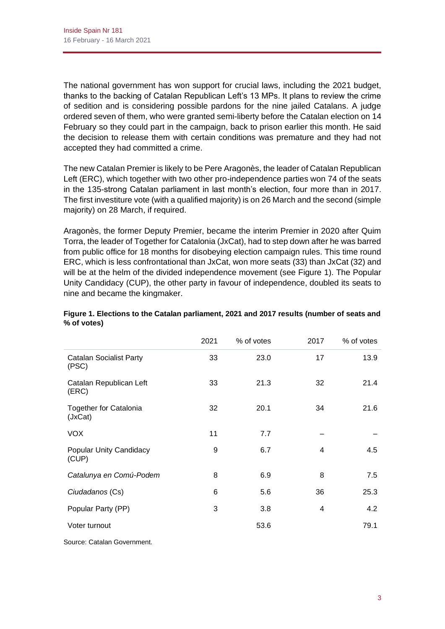The national government has won support for crucial laws, including the 2021 budget, thanks to the backing of Catalan Republican Left's 13 MPs. It plans to review the crime of sedition and is considering possible pardons for the nine jailed Catalans. A judge ordered seven of them, who were granted semi-liberty before the Catalan election on 14 February so they could part in the campaign, back to prison earlier this month. He said the decision to release them with certain conditions was premature and they had not accepted they had committed a crime.

The new Catalan Premier is likely to be Pere Aragonès, the leader of Catalan Republican Left (ERC), which together with two other pro-independence parties won 74 of the seats in the 135-strong Catalan parliament in last month's election, four more than in 2017. The first investiture vote (with a qualified majority) is on 26 March and the second (simple majority) on 28 March, if required.

Aragonès, the former Deputy Premier, became the interim Premier in 2020 after Quim Torra, the leader of Together for Catalonia (JxCat), had to step down after he was barred from public office for 18 months for disobeying election campaign rules. This time round ERC, which is less confrontational than JxCat, won more seats (33) than JxCat (32) and will be at the helm of the divided independence movement (see Figure 1). The Popular Unity Candidacy (CUP), the other party in favour of independence, doubled its seats to nine and became the kingmaker.

|                                          | 2021 | % of votes | 2017 | % of votes |
|------------------------------------------|------|------------|------|------------|
| <b>Catalan Socialist Party</b><br>(PSC)  | 33   | 23.0       | 17   | 13.9       |
| Catalan Republican Left<br>(ERC)         | 33   | 21.3       | 32   | 21.4       |
| <b>Together for Catalonia</b><br>(JxCat) | 32   | 20.1       | 34   | 21.6       |
| <b>VOX</b>                               | 11   | 7.7        |      |            |
| <b>Popular Unity Candidacy</b><br>(CUP)  | 9    | 6.7        | 4    | 4.5        |
| Catalunya en Comú-Podem                  | 8    | 6.9        | 8    | 7.5        |
| Ciudadanos (Cs)                          | 6    | 5.6        | 36   | 25.3       |
| Popular Party (PP)                       | 3    | 3.8        | 4    | 4.2        |
| Voter turnout                            |      | 53.6       |      | 79.1       |

# **Figure 1. Elections to the Catalan parliament, 2021 and 2017 results (number of seats and % of votes)**

Source: Catalan Government.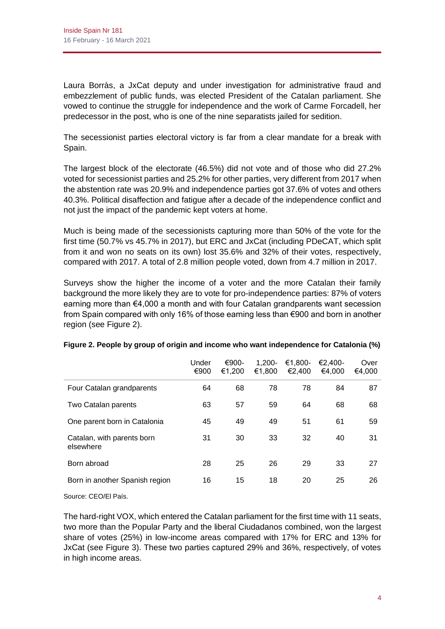Laura Borràs, a JxCat deputy and under investigation for administrative fraud and embezzlement of public funds, was elected President of the Catalan parliament. She vowed to continue the struggle for independence and the work of Carme Forcadell, her predecessor in the post, who is one of the nine separatists jailed for sedition.

The secessionist parties electoral victory is far from a clear mandate for a break with Spain.

The largest block of the electorate (46.5%) did not vote and of those who did 27.2% voted for secessionist parties and 25.2% for other parties, very different from 2017 when the abstention rate was 20.9% and independence parties got 37.6% of votes and others 40.3%. Political disaffection and fatigue after a decade of the independence conflict and not just the impact of the pandemic kept voters at home.

Much is being made of the secessionists capturing more than 50% of the vote for the first time (50.7% vs 45.7% in 2017), but ERC and JxCat (including PDeCAT, which split from it and won no seats on its own) lost 35.6% and 32% of their votes, respectively, compared with 2017. A total of 2.8 million people voted, down from 4.7 million in 2017.

Surveys show the higher the income of a voter and the more Catalan their family background the more likely they are to vote for pro-independence parties: 87% of voters earning more than €4,000 a month and with four Catalan grandparents want secession from Spain compared with only 16% of those earning less than €900 and born in another region (see Figure 2).

|                                         | Under<br>€900 | €900-<br>€1,200 | $1.200 -$<br>€1,800 | $€1.800-$<br>€2,400 | $€2.400-$<br>€4,000 | Over<br>€4,000 |
|-----------------------------------------|---------------|-----------------|---------------------|---------------------|---------------------|----------------|
| Four Catalan grandparents               | 64            | 68              | 78                  | 78                  | 84                  | 87             |
| Two Catalan parents                     | 63            | 57              | 59                  | 64                  | 68                  | 68             |
| One parent born in Catalonia            | 45            | 49              | 49                  | 51                  | 61                  | 59             |
| Catalan, with parents born<br>elsewhere | 31            | 30              | 33                  | 32                  | 40                  | 31             |
| Born abroad                             | 28            | 25              | 26                  | 29                  | 33                  | 27             |
| Born in another Spanish region          | 16            | 15              | 18                  | 20                  | 25                  | 26             |

# **Figure 2. People by group of origin and income who want independence for Catalonia (%)**

Source: CEO/El País.

The hard-right VOX, which entered the Catalan parliament for the first time with 11 seats, two more than the Popular Party and the liberal Ciudadanos combined, won the largest share of votes (25%) in low-income areas compared with 17% for ERC and 13% for JxCat (see Figure 3). These two parties captured 29% and 36%, respectively, of votes in high income areas.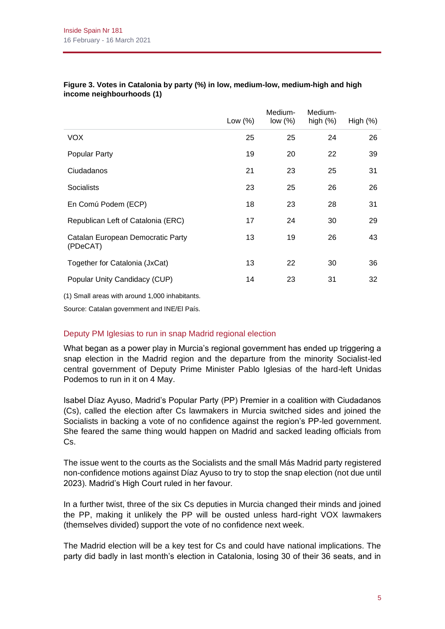|                                               | Low $(\%)$ | Medium-<br>low $(\%)$ | Medium-<br>high $(%)$ | High $(\%)$ |
|-----------------------------------------------|------------|-----------------------|-----------------------|-------------|
| <b>VOX</b>                                    | 25         | 25                    | 24                    | 26          |
| <b>Popular Party</b>                          | 19         | 20                    | 22                    | 39          |
| Ciudadanos                                    | 21         | 23                    | 25                    | 31          |
| Socialists                                    | 23         | 25                    | 26                    | 26          |
| En Comú Podem (ECP)                           | 18         | 23                    | 28                    | 31          |
| Republican Left of Catalonia (ERC)            | 17         | 24                    | 30                    | 29          |
| Catalan European Democratic Party<br>(PDeCAT) | 13         | 19                    | 26                    | 43          |
| Together for Catalonia (JxCat)                | 13         | 22                    | 30                    | 36          |
| Popular Unity Candidacy (CUP)                 | 14         | 23                    | 31                    | 32          |

#### **Figure 3. Votes in Catalonia by party (%) in low, medium-low, medium-high and high income neighbourhoods (1)**

(1) Small areas with around 1,000 inhabitants.

Source: Catalan government and INE/El País.

# Deputy PM Iglesias to run in snap Madrid regional election

What began as a power play in Murcia's regional government has ended up triggering a snap election in the Madrid region and the departure from the minority Socialist-led central government of Deputy Prime Minister Pablo Iglesias of the hard-left Unidas Podemos to run in it on 4 May.

Isabel Díaz Ayuso, Madrid's Popular Party (PP) Premier in a coalition with Ciudadanos (Cs), called the election after Cs lawmakers in Murcia switched sides and joined the Socialists in backing a vote of no confidence against the region's PP-led government. She feared the same thing would happen on Madrid and sacked leading officials from Cs.

The issue went to the courts as the Socialists and the small Más Madrid party registered non-confidence motions against Díaz Ayuso to try to stop the snap election (not due until 2023). Madrid's High Court ruled in her favour.

In a further twist, three of the six Cs deputies in Murcia changed their minds and joined the PP, making it unlikely the PP will be ousted unless hard-right VOX lawmakers (themselves divided) support the vote of no confidence next week.

The Madrid election will be a key test for Cs and could have national implications. The party did badly in last month's election in Catalonia, losing 30 of their 36 seats, and in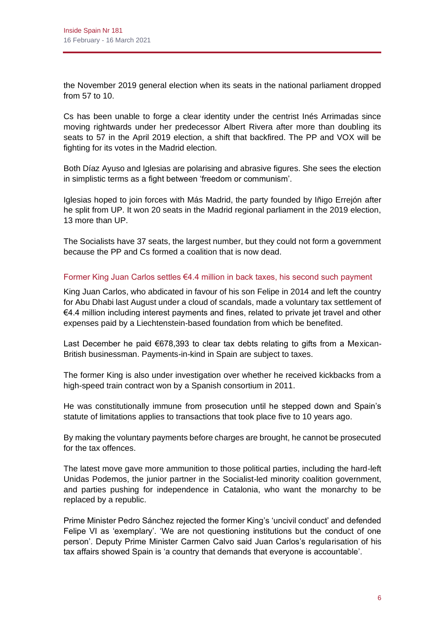the November 2019 general election when its seats in the national parliament dropped from 57 to 10.

Cs has been unable to forge a clear identity under the centrist Inés Arrimadas since moving rightwards under her predecessor Albert Rivera after more than doubling its seats to 57 in the April 2019 election, a shift that backfired. The PP and VOX will be fighting for its votes in the Madrid election.

Both Díaz Ayuso and Iglesias are polarising and abrasive figures. She sees the election in simplistic terms as a fight between 'freedom or communism'.

Iglesias hoped to join forces with Más Madrid, the party founded by Iñigo Errejón after he split from UP. It won 20 seats in the Madrid regional parliament in the 2019 election, 13 more than UP.

The Socialists have 37 seats, the largest number, but they could not form a government because the PP and Cs formed a coalition that is now dead.

# Former King Juan Carlos settles €4.4 million in back taxes, his second such payment

King Juan Carlos, who abdicated in favour of his son Felipe in 2014 and left the country for Abu Dhabi last August under a cloud of scandals, made a voluntary tax settlement of €4.4 million including interest payments and fines, related to private jet travel and other expenses paid by a Liechtenstein-based foundation from which be benefited.

Last December he paid €678,393 to clear tax debts relating to gifts from a Mexican-British businessman. Payments-in-kind in Spain are subject to taxes.

The former King is also under investigation over whether he received kickbacks from a high-speed train contract won by a Spanish consortium in 2011.

He was constitutionally immune from prosecution until he stepped down and Spain's statute of limitations applies to transactions that took place five to 10 years ago.

By making the voluntary payments before charges are brought, he cannot be prosecuted for the tax offences.

The latest move gave more ammunition to those political parties, including the hard-left Unidas Podemos, the junior partner in the Socialist-led minority coalition government, and parties pushing for independence in Catalonia, who want the monarchy to be replaced by a republic.

Prime Minister Pedro Sánchez rejected the former King's 'uncivil conduct' and defended Felipe VI as 'exemplary'. 'We are not questioning institutions but the conduct of one person'. Deputy Prime Minister Carmen Calvo said Juan Carlos's regularisation of his tax affairs showed Spain is 'a country that demands that everyone is accountable'.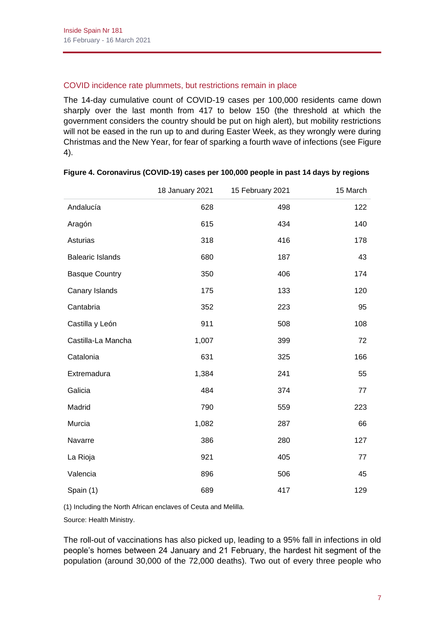## COVID incidence rate plummets, but restrictions remain in place

The 14-day cumulative count of COVID-19 cases per 100,000 residents came down sharply over the last month from 417 to below 150 (the threshold at which the government considers the country should be put on high alert), but mobility restrictions will not be eased in the run up to and during Easter Week, as they wrongly were during Christmas and the New Year, for fear of sparking a fourth wave of infections (see Figure 4).

|                         | 18 January 2021 | 15 February 2021 | 15 March |
|-------------------------|-----------------|------------------|----------|
| Andalucía               | 628             | 498              | 122      |
| Aragón                  | 615             | 434              | 140      |
| Asturias                | 318             | 416              | 178      |
| <b>Balearic Islands</b> | 680             | 187              | 43       |
| <b>Basque Country</b>   | 350             | 406              | 174      |
| Canary Islands          | 175             | 133              | 120      |
| Cantabria               | 352             | 223              | 95       |
| Castilla y León         | 911             | 508              | 108      |
| Castilla-La Mancha      | 1,007           | 399              | 72       |
| Catalonia               | 631             | 325              | 166      |
| Extremadura             | 1,384           | 241              | 55       |
| Galicia                 | 484             | 374              | 77       |
| Madrid                  | 790             | 559              | 223      |
| Murcia                  | 1,082           | 287              | 66       |
| Navarre                 | 386             | 280              | 127      |
| La Rioja                | 921             | 405              | 77       |
| Valencia                | 896             | 506              | 45       |
| Spain (1)               | 689             | 417              | 129      |

# **Figure 4. Coronavirus (COVID-19) cases per 100,000 people in past 14 days by regions**

(1) Including the North African enclaves of Ceuta and Melilla.

Source: Health Ministry.

The roll-out of vaccinations has also picked up, leading to a 95% fall in infections in old people's homes between 24 January and 21 February, the hardest hit segment of the population (around 30,000 of the 72,000 deaths). Two out of every three people who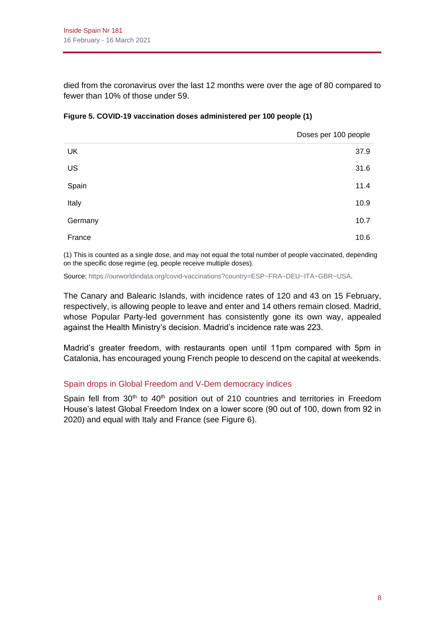died from the coronavirus over the last 12 months were over the age of 80 compared to fewer than 10% of those under 59.

|         | Doses per 100 people |
|---------|----------------------|
| UK      | 37.9                 |
| US      | 31.6                 |
| Spain   | 11.4                 |
| Italy   | 10.9                 |
| Germany | 10.7                 |
| France  | 10.6                 |

#### **Figure 5. COVID-19 vaccination doses administered per 100 people (1)**

(1) This is counted as a single dose, and may not equal the total number of people vaccinated, depending on the specific dose regime (eg, people receive multiple doses).

Source[: https://ourworldindata.org/covid-vaccinations?country=ESP~FRA~DEU~ITA~GBR~USA.](https://ourworldindata.org/covid-vaccinations?country=ESP~FRA~DEU~ITA~GBR~USA)

The Canary and Balearic Islands, with incidence rates of 120 and 43 on 15 February, respectively, is allowing people to leave and enter and 14 others remain closed. Madrid, whose Popular Party-led government has consistently gone its own way, appealed against the Health Ministry's decision. Madrid's incidence rate was 223.

Madrid's greater freedom, with restaurants open until 11pm compared with 5pm in Catalonia, has encouraged young French people to descend on the capital at weekends.

# Spain drops in Global Freedom and V-Dem democracy indices

Spain fell from  $30<sup>th</sup>$  to  $40<sup>th</sup>$  position out of 210 countries and territories in Freedom House's latest Global Freedom Index on a lower score (90 out of 100, down from 92 in 2020) and equal with Italy and France (see Figure 6).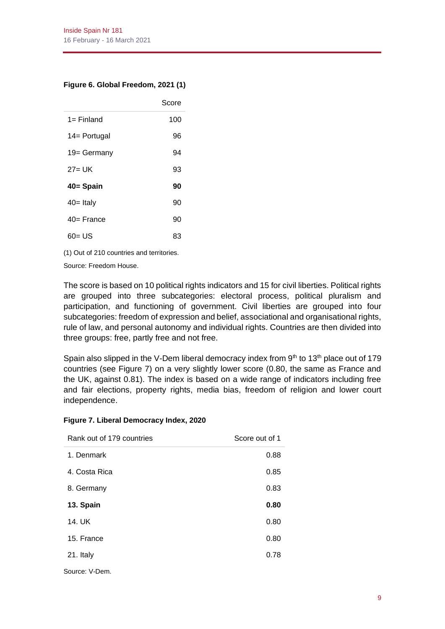#### **Figure 6. Global Freedom, 2021 (1)**

|               | Score |
|---------------|-------|
| 1= Finland    | 100   |
| 14 = Portugal | 96    |
| 19= Germany   | 94    |
| $27 = UK$     | 93    |
| 40= Spain     | 90    |
| 40= Italy     | 90    |
| 40= France    | 90    |
| 60= US        | 83    |

(1) Out of 210 countries and territories.

Source: Freedom House.

The score is based on 10 political rights indicators and 15 for civil liberties. Political rights are grouped into three subcategories: electoral process, political pluralism and participation, and functioning of government. Civil liberties are grouped into four subcategories: freedom of expression and belief, associational and organisational rights, rule of law, and personal autonomy and individual rights. Countries are then divided into three groups: free, partly free and not free.

Spain also slipped in the V-Dem liberal democracy index from  $9<sup>th</sup>$  to 13<sup>th</sup> place out of 179 countries (see Figure 7) on a very slightly lower score (0.80, the same as France and the UK, against 0.81). The index is based on a wide range of indicators including free and fair elections, property rights, media bias, freedom of religion and lower court independence.

| Rank out of 179 countries | Score out of 1 |
|---------------------------|----------------|
| 1. Denmark                | 0.88           |
| 4. Costa Rica             | 0.85           |
| 8. Germany                | 0.83           |
| 13. Spain                 | 0.80           |
| 14. UK                    | 0.80           |
| 15. France                | 0.80           |
| 21. Italy                 | 0.78           |
|                           |                |

Source: V-Dem.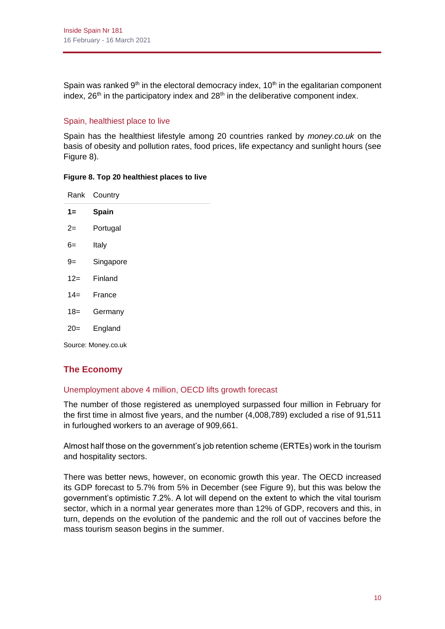Spain was ranked  $9<sup>th</sup>$  in the electoral democracy index, 10<sup>th</sup> in the egalitarian component index,  $26<sup>th</sup>$  in the participatory index and  $28<sup>th</sup>$  in the deliberative component index.

# Spain, healthiest place to live

Spain has the healthiest lifestyle among 20 countries ranked by *money.co.uk* on the basis of obesity and pollution rates, food prices, life expectancy and sunlight hours (see Figure 8).

#### **Figure 8. Top 20 healthiest places to live**

|                     | Rank Country |  |  |
|---------------------|--------------|--|--|
| $1 =$               | Spain        |  |  |
| $2 =$               | Portugal     |  |  |
| 6=                  | Italy        |  |  |
| 9=                  | Singapore    |  |  |
| $12 =$              | Finland      |  |  |
| $14 =$              | France       |  |  |
| 18=                 | Germany      |  |  |
| $20=$               | England      |  |  |
| Source: Money.co.uk |              |  |  |

# **The Economy**

# Unemployment above 4 million, OECD lifts growth forecast

The number of those registered as unemployed surpassed four million in February for the first time in almost five years, and the number (4,008,789) excluded a rise of 91,511 in furloughed workers to an average of 909,661.

Almost half those on the government's job retention scheme (ERTEs) work in the tourism and hospitality sectors.

There was better news, however, on economic growth this year. The OECD increased its GDP forecast to 5.7% from 5% in December (see Figure 9), but this was below the government's optimistic 7.2%. A lot will depend on the extent to which the vital tourism sector, which in a normal year generates more than 12% of GDP, recovers and this, in turn, depends on the evolution of the pandemic and the roll out of vaccines before the mass tourism season begins in the summer.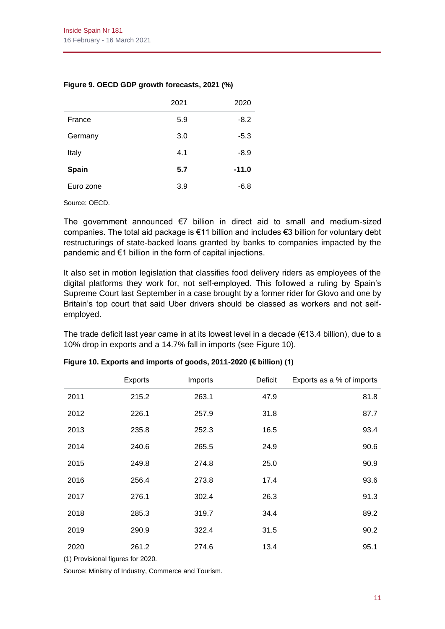## **Figure 9. OECD GDP growth forecasts, 2021 (%)**

|              | 2021 | 2020    |
|--------------|------|---------|
| France       | 5.9  | $-8.2$  |
| Germany      | 3.0  | $-5.3$  |
| Italy        | 4.1  | $-8.9$  |
| <b>Spain</b> | 5.7  | $-11.0$ |
| Euro zone    | 3.9  | $-6.8$  |
|              |      |         |

Source: OECD.

The government announced €7 billion in direct aid to small and medium-sized companies. The total aid package is €11 billion and includes €3 billion for voluntary debt restructurings of state-backed loans granted by banks to companies impacted by the pandemic and €1 billion in the form of capital injections.

It also set in motion legislation that classifies food delivery riders as employees of the digital platforms they work for, not self-employed. This followed a ruling by Spain's Supreme Court last September in a case brought by a former rider for Glovo and one by Britain's top court that said Uber drivers should be classed as workers and not selfemployed.

The trade deficit last year came in at its lowest level in a decade ( $\epsilon$ 13.4 billion), due to a 10% drop in exports and a 14.7% fall in imports (see Figure 10).

|      | <b>Exports</b> | Imports | Deficit | Exports as a % of imports |
|------|----------------|---------|---------|---------------------------|
| 2011 | 215.2          | 263.1   | 47.9    | 81.8                      |
| 2012 | 226.1          | 257.9   | 31.8    | 87.7                      |
| 2013 | 235.8          | 252.3   | 16.5    | 93.4                      |
| 2014 | 240.6          | 265.5   | 24.9    | 90.6                      |
| 2015 | 249.8          | 274.8   | 25.0    | 90.9                      |
| 2016 | 256.4          | 273.8   | 17.4    | 93.6                      |
| 2017 | 276.1          | 302.4   | 26.3    | 91.3                      |
| 2018 | 285.3          | 319.7   | 34.4    | 89.2                      |
| 2019 | 290.9          | 322.4   | 31.5    | 90.2                      |
| 2020 | 261.2          | 274.6   | 13.4    | 95.1                      |

#### **Figure 10. Exports and imports of goods, 2011-2020 (€ billion) (1)**

(1) Provisional figures for 2020.

Source: Ministry of Industry, Commerce and Tourism.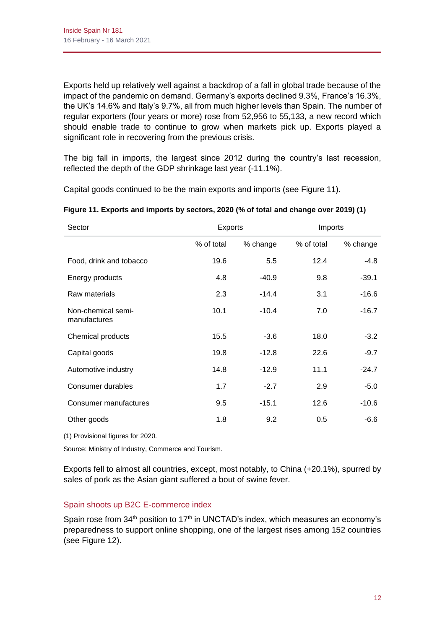Exports held up relatively well against a backdrop of a fall in global trade because of the impact of the pandemic on demand. Germany's exports declined 9.3%, France's 16.3%, the UK's 14.6% and Italy's 9.7%, all from much higher levels than Spain. The number of regular exporters (four years or more) rose from 52,956 to 55,133, a new record which should enable trade to continue to grow when markets pick up. Exports played a significant role in recovering from the previous crisis.

The big fall in imports, the largest since 2012 during the country's last recession, reflected the depth of the GDP shrinkage last year (-11.1%).

Capital goods continued to be the main exports and imports (see Figure 11).

| Sector                             | <b>Exports</b> |          |            | Imports  |
|------------------------------------|----------------|----------|------------|----------|
|                                    | % of total     | % change | % of total | % change |
| Food, drink and tobacco            | 19.6           | 5.5      | 12.4       | $-4.8$   |
| Energy products                    | 4.8            | $-40.9$  | 9.8        | $-39.1$  |
| Raw materials                      | 2.3            | $-14.4$  | 3.1        | $-16.6$  |
| Non-chemical semi-<br>manufactures | 10.1           | $-10.4$  | 7.0        | $-16.7$  |
| Chemical products                  | 15.5           | $-3.6$   | 18.0       | $-3.2$   |
| Capital goods                      | 19.8           | $-12.8$  | 22.6       | $-9.7$   |
| Automotive industry                | 14.8           | $-12.9$  | 11.1       | $-24.7$  |
| Consumer durables                  | 1.7            | $-2.7$   | 2.9        | $-5.0$   |
| Consumer manufactures              | 9.5            | $-15.1$  | 12.6       | $-10.6$  |
| Other goods                        | 1.8            | 9.2      | 0.5        | $-6.6$   |

# **Figure 11. Exports and imports by sectors, 2020 (% of total and change over 2019) (1)**

(1) Provisional figures for 2020.

Source: Ministry of Industry, Commerce and Tourism.

Exports fell to almost all countries, except, most notably, to China (+20.1%), spurred by sales of pork as the Asian giant suffered a bout of swine fever.

# Spain shoots up B2C E-commerce index

Spain rose from  $34<sup>th</sup>$  position to 17<sup>th</sup> in UNCTAD's index, which measures an economy's preparedness to support online shopping, one of the largest rises among 152 countries (see Figure 12).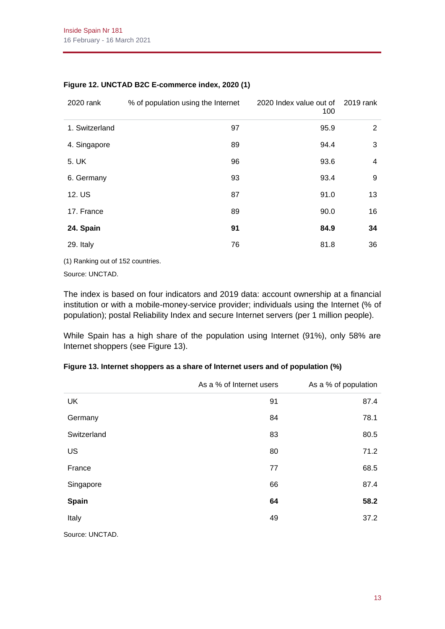| 2020 rank      | % of population using the Internet | 2020 Index value out of<br>100 | 2019 rank            |
|----------------|------------------------------------|--------------------------------|----------------------|
| 1. Switzerland | 97                                 | 95.9                           | $\mathbf{2}^{\circ}$ |
| 4. Singapore   | 89                                 | 94.4                           | 3                    |
| 5. UK          | 96                                 | 93.6                           | 4                    |
| 6. Germany     | 93                                 | 93.4                           | 9                    |
| 12. US         | 87                                 | 91.0                           | 13                   |
| 17. France     | 89                                 | 90.0                           | 16                   |
| 24. Spain      | 91                                 | 84.9                           | 34                   |
| 29. Italy      | 76                                 | 81.8                           | 36                   |

#### **Figure 12. UNCTAD B2C E-commerce index, 2020 (1)**

(1) Ranking out of 152 countries.

Source: UNCTAD.

The index is based on four indicators and 2019 data: account ownership at a financial institution or with a mobile-money-service provider; individuals using the Internet (% of population); postal Reliability Index and secure Internet servers (per 1 million people).

While Spain has a high share of the population using Internet (91%), only 58% are Internet shoppers (see Figure 13).

# **Figure 13. Internet shoppers as a share of Internet users and of population (%)**

|                 | As a % of Internet users | As a % of population |  |
|-----------------|--------------------------|----------------------|--|
| <b>UK</b>       | 91                       | 87.4                 |  |
| Germany         | 84                       | 78.1                 |  |
| Switzerland     | 83                       | 80.5                 |  |
| US              | 80                       | 71.2                 |  |
| France          | 77                       | 68.5                 |  |
| Singapore       | 66                       | 87.4                 |  |
| Spain           | 64                       | 58.2                 |  |
| Italy           | 49                       | 37.2                 |  |
| Source: UNCTAD. |                          |                      |  |